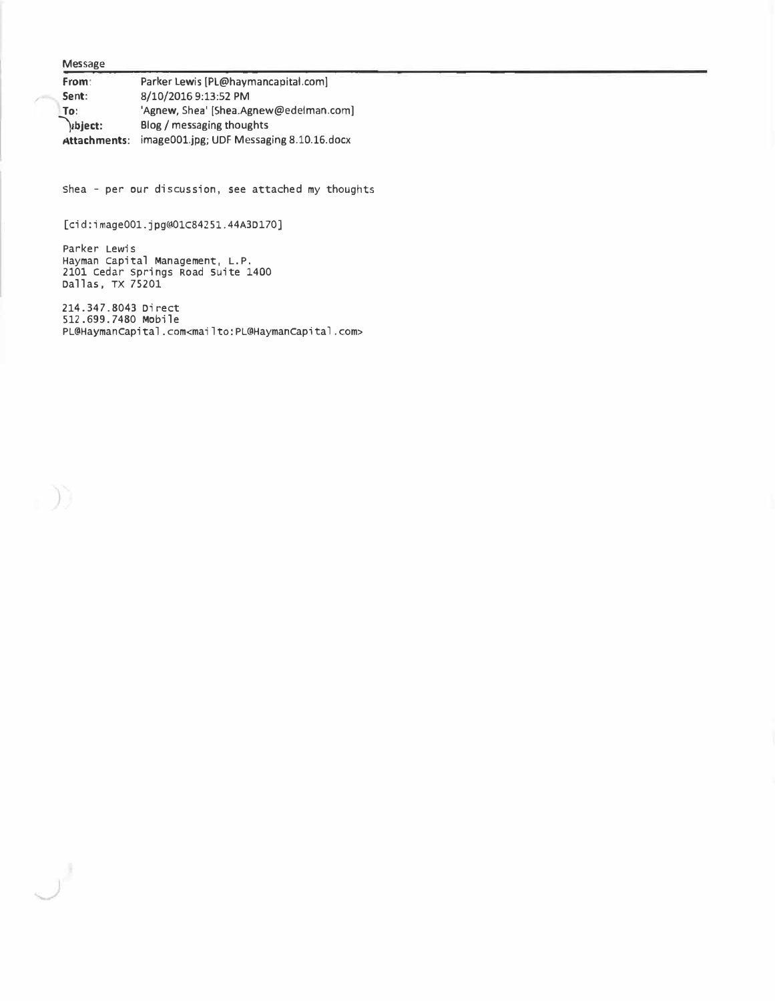## Message

 $\lambda$ 

D

 $y^3$ 

| From:          | Parker Lewis [PL@haymancapital.com]      |
|----------------|------------------------------------------|
| Sent:          | 8/10/2016 9:13:52 PM                     |
|                | 'Agnew, Shea' [Shea.Agnew@edelman.com]   |
| To:<br>pbject: | Blog / messaging thoughts                |
| Attachments:   | image001.jpg; UDF Messaging 8.10.16.docx |

Shea - per our discussion, see attached my thoughts

[cid:image001.jpg@01C84251.44A3D170]

Parker Lewis Hayman capital Management, L.P. 2101 cedar springs Road suite 1400 Dallas, TX 75201

214.347.8043 Direct 512.699.7480 Mobile PL@Haymancapital.com<mailto:PL@Haymancapital .com>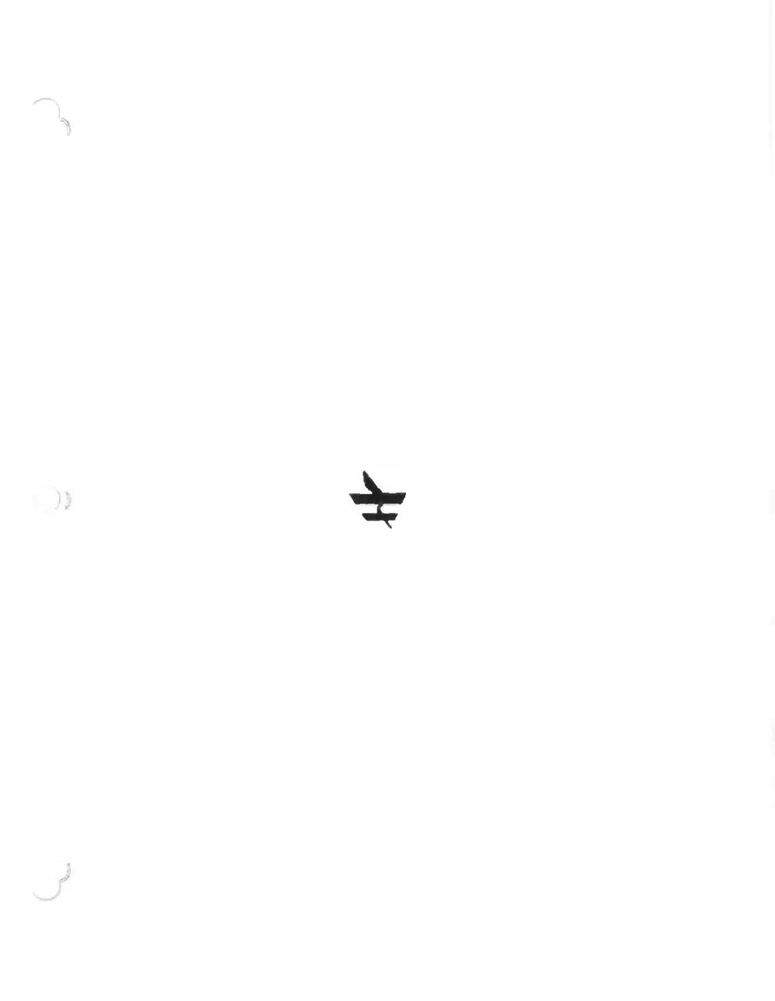$\bigcup \mathfrak{Z}$ 



 $\mathcal{I}$